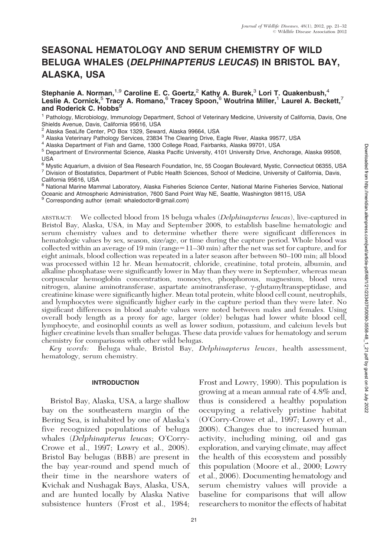# SEASONAL HEMATOLOGY AND SERUM CHEMISTRY OF WILD BELUGA WHALES (DELPHINAPTERUS LEUCAS) IN BRISTOL BAY, ALASKA, USA

Stephanie A. Norman,<sup>1,9</sup> Caroline E. C. Goertz,<sup>2</sup> Kathy A. Burek,<sup>3</sup> Lori T. Quakenbush,<sup>4</sup> Leslie A. Cornick, $^5$  Tracy A. Romano, $^6$  Tracey Spoon, $^6$  Woutrina Miller, $^1$  Laurel A. Beckett, $^7$ and Roderick C. Hobbs

<sup>1</sup> Pathology, Microbiology, Immunology Department, School of Veterinary Medicine, University of California, Davis, One Shields Avenue, Davis, California 95616, USA

<sup>2</sup> Alaska SeaLife Center, PO Box 1329, Seward, Alaska 99664, USA

<sup>3</sup> Alaska Veterinary Pathology Services, 23834 The Clearing Drive, Eagle River, Alaska 99577, USA

<sup>4</sup> Alaska Department of Fish and Game, 1300 College Road, Fairbanks, Alaska 99701, USA

<sup>5</sup> Department of Environmental Science, Alaska Pacific University, 4101 University Drive, Anchorage, Alaska 99508, USA

<sup>6</sup> Mystic Aquarium, a division of Sea Research Foundation, Inc, 55 Coogan Boulevard, Mystic, Connecticut 06355, USA <sup>7</sup> Division of Biostatistics, Department of Public Health Sciences, School of Medicine, University of California, Davis, California 95616, USA

<sup>8</sup> National Marine Mammal Laboratory, Alaska Fisheries Science Center, National Marine Fisheries Service, National

Oceanic and Atmospheric Administration, 7600 Sand Point Way NE, Seattle, Washington 98115, USA

<sup>9</sup> Corresponding author (email: whaledoctor@gmail.com)

ABSTRACT: We collected blood from 18 beluga whales (Delphinapterus leucas), live-captured in Bristol Bay, Alaska, USA, in May and September 2008, to establish baseline hematologic and serum chemistry values and to determine whether there were significant differences in hematologic values by sex, season, size/age, or time during the capture period. Whole blood was collected within an average of 19 min (range $=11-30$  min) after the net was set for capture, and for eight animals, blood collection was repeated in a later season after between 80–100 min; all blood was processed within 12 hr. Mean hematocrit, chloride, creatinine, total protein, albumin, and alkaline phosphatase were significantly lower in May than they were in September, whereas mean corpuscular hemoglobin concentration, monocytes, phosphorous, magnesium, blood urea nitrogen, alanine aminotransferase, aspartate aminotransferase,  $\gamma$ -glutamyltranspeptidase, and creatinine kinase were significantly higher. Mean total protein, white blood cell count, neutrophils, and lymphocytes were significantly higher early in the capture period than they were later. No significant differences in blood analyte values were noted between males and females. Using overall body length as a proxy for age, larger (older) belugas had lower white blood cell, lymphocyte, and eosinophil counts as well as lower sodium, potassium, and calcium levels but higher creatinine levels than smaller belugas. These data provide values for hematology and serum chemistry for comparisons with other wild belugas.

Key words: Beluga whale, Bristol Bay, Delphinapterus leucas, health assessment, hematology, serum chemistry.

#### INTRODUCTION

Bristol Bay, Alaska, USA, a large shallow bay on the southeastern margin of the Bering Sea, is inhabited by one of Alaska's five recognized populations of beluga whales (Delphinapterus leucas; O'Corry-Crowe et al., 1997; Lowry et al., 2008). Bristol Bay belugas (BBB) are present in the bay year-round and spend much of their time in the nearshore waters of Kvichak and Nushagak Bays, Alaska, USA, and are hunted locally by Alaska Native subsistence hunters (Frost et al., 1984; Frost and Lowry, 1990). This population is growing at a mean annual rate of 4.8% and, thus is considered a healthy population occupying a relatively pristine habitat (O'Corry-Crowe et al., 1997; Lowry et al., 2008). Changes due to increased human activity, including mining, oil and gas exploration, and varying climate, may affect the health of this ecosystem and possibly this population (Moore et al., 2000; Lowry et al., 2006). Documenting hematology and serum chemistry values will provide a baseline for comparisons that will allow researchers to monitor the effects of habitat Downloaded from http://meridian.allenpress.com/jwd/article-pdf/48/1/21/2334070/0090-3558-48\_1\_21.pdf by guest on 04 July 2022 Downloaded from http://meridian.allenpress.com/jwd/article-pdf/48/1/21/2334070/0090-3558-48\_1\_21.pdf by guest on 04 July 2022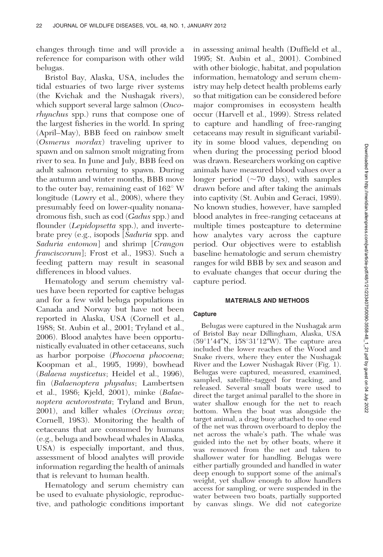changes through time and will provide a reference for comparison with other wild belugas.

Bristol Bay, Alaska, USA, includes the tidal estuaries of two large river systems (the Kvichak and the Nushagak rivers), which support several large salmon (Oncorhynchus spp.) runs that compose one of the largest fisheries in the world. In spring (April–May), BBB feed on rainbow smelt (Osmerus mordax) traveling upriver to spawn and on salmon smolt migrating from river to sea. In June and July, BBB feed on adult salmon returning to spawn. During the autumn and winter months, BBB move to the outer bay, remaining east of  $162^{\circ}$  W longitude (Lowry et al., 2008), where they presumably feed on lower-quality nonanadromous fish, such as cod (Gadus spp.) and flounder (Lepidopsetta spp.), and invertebrate prey (e.g., isopods [Saduria spp. and Saduria entomon] and shrimp [Crangon franciscorum]; Frost et al., 1983). Such a feeding pattern may result in seasonal differences in blood values.

Hematology and serum chemistry values have been reported for captive belugas and for a few wild beluga populations in Canada and Norway but have not been reported in Alaska, USA (Cornell et al., 1988; St. Aubin et al., 2001; Tryland et al., 2006). Blood analytes have been opportunistically evaluated in other cetaceans, such as harbor porpoise (Phocoena phocoena; Koopman et al., 1995, 1999), bowhead (Balaena mysticetus; Heidel et al., 1996), fin (Balaenoptera physalus; Lambertsen et al., 1986; Kjeld, 2001), minke (Balaenoptera acutorostrata; Tryland and Brun, 2001), and killer whales (Orcinus orca; Cornell, 1983). Monitoring the health of cetaceans that are consumed by humans (e.g., beluga and bowhead whales in Alaska, USA) is especially important, and thus, assessment of blood analytes will provide information regarding the health of animals that is relevant to human health.

Hematology and serum chemistry can be used to evaluate physiologic, reproductive, and pathologic conditions important

in assessing animal health (Duffield et al., 1995; St. Aubin et al., 2001). Combined with other biologic, habitat, and population information, hematology and serum chemistry may help detect health problems early so that mitigation can be considered before major compromises in ecosystem health occur (Harvell et al., 1999). Stress related to capture and handling of free-ranging cetaceans may result in significant variability in some blood values, depending on when during the processing period blood was drawn. Researchers working on captive animals have measured blood values over a longer period  $(\sim 70 \text{ days})$ , with samples drawn before and after taking the animals into captivity (St. Aubin and Geraci, 1989). No known studies, however, have sampled blood analytes in free-ranging cetaceans at multiple times postcapture to determine how analytes vary across the capture period. Our objectives were to establish baseline hematologic and serum chemistry ranges for wild BBB by sex and season and to evaluate changes that occur during the capture period.

#### MATERIALS AND METHODS

# **Capture**

Belugas were captured in the Nushagak arm of Bristol Bay near Dillingham, Alaska, USA  $(59°1'44'N, 158°31'12''W)$ . The capture area included the lower reaches of the Wood and Snake rivers, where they enter the Nushagak River and the Lower Nushagak River (Fig. 1). Belugas were captured, measured, examined, sampled, satellite-tagged for tracking, and released. Several small boats were used to direct the target animal parallel to the shore in water shallow enough for the net to reach bottom. When the boat was alongside the target animal, a drag buoy attached to one end of the net was thrown overboard to deploy the net across the whale's path. The whale was guided into the net by other boats, where it was removed from the net and taken to shallower water for handling. Belugas were either partially grounded and handled in water deep enough to support some of the animal's weight, yet shallow enough to allow handlers access for sampling, or were suspended in the water between two boats, partially supported by canvas slings. We did not categorize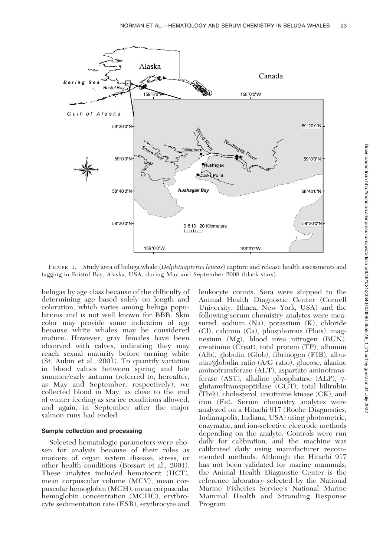

FIGURE 1. Study area of beluga whale (Delphinapterus leucas) capture and release health assessments and tagging in Bristol Bay, Alaska, USA, during May and September 2008 (black stars).

belugas by age class because of the difficulty of determining age based solely on length and coloration, which varies among beluga populations and is not well known for BBB. Skin color may provide some indication of age because white whales may be considered mature. However, gray females have been observed with calves, indicating they may reach sexual maturity before turning white (St. Aubin et al., 2001). To quantify variation in blood values between spring and late summer/early autumn (referred to, hereafter, as May and September, respectively), we collected blood in May, as close to the end of winter feeding as sea ice conditions allowed, and again, in September after the major salmon runs had ended.

#### Sample collection and processing

Selected hematologic parameters were chosen for analysis because of their roles as markers of organ system disease, stress, or other health conditions (Bossart et al., 2001). These analytes included hematocrit (HCT), mean corpuscular volume (MCV), mean corpuscular hemoglobin (MCH), mean corpuscular hemoglobin concentration (MCHC), erythrocyte sedimentation rate (ESR), erythrocyte and leukocyte counts. Sera were shipped to the Animal Health Diagnostic Center (Cornell University, Ithaca, New York, USA) and the following serum chemistry analytes were measured: sodium (Na), potassium (K), chloride (Cl), calcium (Ca), phosphorous (Phos), magnesium (Mg), blood urea nitrogen (BUN), creatinine (Creat), total protein (TP), albumin (Alb), globulin (Glob), fibrinogen (FIB), albumin/globulin ratio (A/G ratio), glucose, alanine aminotransferase (ALT), aspartate aminotransferase (AST), alkaline phosphatase (ALP),  $\gamma$ glutamyltranspeptidase (GGT), total bilirubin (Tbili), cholesterol, creatinine kinase (CK), and iron (Fe). Serum chemistry analytes were analyzed on a Hitachi 917 (Roche Diagnostics, Indianapolis, Indiana, USA) using photometric, enzymatic, and ion-selective electrode methods depending on the analyte. Controls were run daily for calibration, and the machine was calibrated daily using manufacturer recommended methods. Although the Hitachi 917 has not been validated for marine mammals, the Animal Health Diagnostic Center is the reference laboratory selected by the National Marine Fisheries Service's National Marine Mammal Health and Stranding Response Program.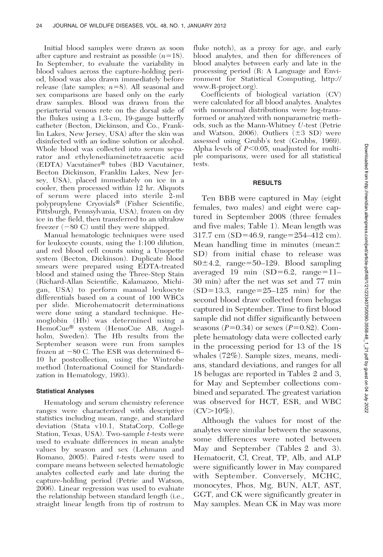Initial blood samples were drawn as soon after capture and restraint as possible  $(n=18)$ . In September, to evaluate the variability in blood values across the capture-holding period, blood was also drawn immediately before release (late samples;  $n=8$ ). All seasonal and sex comparisons are based only on the early draw samples. Blood was drawn from the periarterial venous rete on the dorsal side of the flukes using a 1.3-cm, 19-gauge butterfly catheter (Becton, Dickinson, and Co., Franklin Lakes, New Jersey, USA) after the skin was disinfected with an iodine solution or alcohol. Whole blood was collected into serum separator and ethylenediaminetetraacetic acid (EDTA) Vacutainer® tubes (BD Vacutainer, Becton Dickinson, Franklin Lakes, New Jersey, USA), placed immediately on ice in a cooler, then processed within 12 hr. Aliquots of serum were placed into sterile 2-ml polypropylene  $Cryovials^{\circledR}$  (Fisher Scientific, Pittsburgh, Pennsylvania, USA), frozen on dry ice in the field, then transferred to an ultralow freezer  $(-80 \text{ C})$  until they were shipped.

Manual hematologic techniques were used for leukocyte counts, using the 1:100 dilution, and red blood cell counts using a Unopette system (Becton, Dickinson). Duplicate blood smears were prepared using EDTA-treated blood and stained using the Three-Step Stain (Richard-Allan Scientific, Kalamazoo, Michigan, USA) to perform manual leukocyte differentials based on a count of 100 WBCs per slide. Microhematocrit determinations were done using a standard technique. Hemoglobin (Hb) was determined using a HemoCue® system (HemoCue AB, Angelholm, Sweden). The Hb results from the September season were run from samples frozen at  $-80$  C. The ESR was determined 6– 10 hr postcollection, using the Wintrobe method (International Council for Standardization in Hematology, 1993).

## Statistical Analyses

Hematology and serum chemistry reference ranges were characterized with descriptive statistics including mean, range, and standard deviation (Stata v10.1, StataCorp, College Station, Texas, USA). Two-sample t-tests were used to evaluate differences in mean analyte values by season and sex (Lehmann and Romano, 2005). Paired t-tests were used to compare means between selected hematologic analytes collected early and late during the capture-holding period (Petrie and Watson, 2006). Linear regression was used to evaluate the relationship between standard length (i.e., straight linear length from tip of rostrum to

fluke notch), as a proxy for age, and early blood analytes, and then for differences of blood analytes between early and late in the processing period (R: A Language and Environment for Statistical Computing, http:// www.R-project.org).

Coefficients of biological variation (CV) were calculated for all blood analytes. Analytes with nonnormal distributions were log-transformed or analyzed with nonparametric methods, such as the Mann-Whitney U-test (Petrie and Watson, 2006). Outliers  $(\pm 3 \text{ SD})$  were assessed using Grubb's test (Grubbs, 1969). Alpha levels of  $P<0.05$ , unadjusted for multiple comparisons, were used for all statistical tests.

#### RESULTS

Ten BBB were captured in May (eight females, two males) and eight were captured in September 2008 (three females and five males; Table 1). Mean length was  $317.7 \text{ cm } (\text{SD}=46.9, \text{ range}=254-412 \text{ cm}).$ Mean handling time in minutes (mean $\pm$ SD) from initial chase to release was  $80±4.2$ , range=50-129. Blood sampling averaged 19 min  $(SD=6.2, \text{ range}=11-$ 30 min) after the net was set and 77 min  $(SD=13.3, \text{ range}=25-125 \text{ min})$  for the second blood draw collected from belugas captured in September. Time to first blood sample did not differ significantly between seasons  $(P=0.34)$  or sexes  $(P=0.82)$ . Complete hematology data were collected early in the processing period for 13 of the 18 whales (72%). Sample sizes, means, medians, standard deviations, and ranges for all 18 belugas are reported in Tables 2 and 3, for May and September collections combined and separated. The greatest variation was observed for HCT, ESR, and WBC  $(CV>10\%).$ 

Although the values for most of the analytes were similar between the seasons, some differences were noted between May and September (Tables 2 and 3). Hematocrit, Cl, Creat, TP, Alb, and ALP were significantly lower in May compared with September. Conversely, MCHC, monocytes, Phos, Mg, BUN, ALT, AST, GGT, and CK were significantly greater in May samples. Mean CK in May was more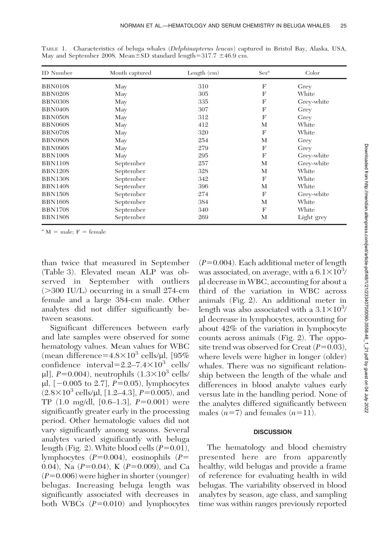| <b>ID</b> Number | Month captured | Length $(cm)$ | $Sex^a$    | Color      |
|------------------|----------------|---------------|------------|------------|
| <b>BBN0108</b>   | May            | 310           | $_{\rm F}$ | Grey       |
| <b>BBN0208</b>   | May            | 305           | F          | White      |
| <b>BBN0308</b>   | May            | 335           | F          | Grey-white |
| <b>BBN0408</b>   | May            | 307           | F          | Grey       |
| <b>BBN0508</b>   | May            | 312           | F          | Grey       |
| <b>BBN0608</b>   | May            | 412           | M          | White      |
| <b>BBN0708</b>   | May            | 320           | $_{\rm F}$ | White      |
| <b>BBN0808</b>   | May            | 254           | M          | Grey       |
| <b>BBN0908</b>   | May            | 279           | F          | Grey       |
| <b>BBN1008</b>   | May            | 295           | F          | Grey-white |
| <b>BBN1108</b>   | September      | 257           | M          | Grey-white |
| <b>BBN1208</b>   | September      | 328           | M          | White      |
| <b>BBN1308</b>   | September      | 342           | F          | White      |
| <b>BBN1408</b>   | September      | 396           | M          | White      |
| <b>BBN1508</b>   | September      | 274           | F          | Grey-white |
| <b>BBN1608</b>   | September      | 384           | M          | White      |
| <b>BBN1708</b>   | September      | 340           | F          | White      |
| <b>BBN1808</b>   | September      | 269           | M          | Light grey |

TABLE 1. Characteristics of beluga whales (Delphinapterus leucas) captured in Bristol Bay, Alaska, USA, May and September 2008. Mean $\pm$ SD standard length=317.7  $\pm$ 46.9 cm.

 $A^a$  M = male; F = female

than twice that measured in September (Table 3). Elevated mean ALP was observed in September with outliers  $(>300 \text{ IU/L})$  occurring in a small 274-cm female and a large 384-cm male. Other analytes did not differ significantly between seasons.

Significant differences between early and late samples were observed for some hematology values. Mean values for WBC (mean difference= $4.8\times10^3$  cells/µl, [95% confidence interval= $2.2-7.4\times10^3$  cells/  $\mu$ l], *P*=0.004), neutrophils (1.3×10<sup>3</sup> cells/  $\mu$ l,  $[-0.005 \text{ to } 2.7]$ ,  $P=0.05$ ), lymphocytes  $(2.8\times10^3 \text{ cells/}\mu\text{J}, [1.2-4.3], P=0.005)$ , and TP  $(1.0 \text{ mg/dl}, [0.6-1.3], P=0.001)$  were significantly greater early in the processing period. Other hematologic values did not vary significantly among seasons. Several analytes varied significantly with beluga length (Fig. 2). White blood cells  $(P=0.01)$ , lymphocytes  $(P=0.004)$ , eosinophils  $(P=$ 0.04), Na  $(P=0.04)$ , K  $(P=0.009)$ , and Ca  $(P=0.006)$  were higher in shorter (younger) belugas. Increasing beluga length was significantly associated with decreases in both WBCs  $(P=0.010)$  and lymphocytes

 $(P=0.004)$ . Each additional meter of length was associated, on average, with a 6.1 $\times 10^3\prime$ ml decrease in WBC, accounting for about a third of the variation in WBC across animals (Fig. 2). An additional meter in length was also associated with a  $3.1\times10^3/$ ml decrease in lymphocytes, accounting for about 42% of the variation in lymphocyte counts across animals (Fig. 2). The opposite trend was observed for Creat  $(P=0.03)$ , where levels were higher in longer (older) whales. There was no significant relationship between the length of the whale and differences in blood analyte values early versus late in the handling period. None of the analytes differed significantly between males  $(n=7)$  and females  $(n=11)$ .

### **DISCUSSION**

The hematology and blood chemistry presented here are from apparently healthy, wild belugas and provide a frame of reference for evaluating health in wild belugas. The variability observed in blood analytes by season, age class, and sampling time was within ranges previously reported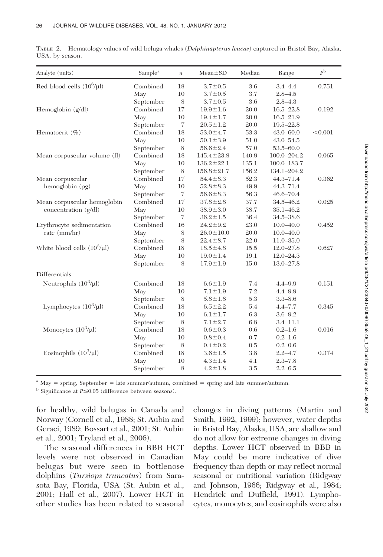| Analyte (units)                      | Sample <sup>a</sup> | $\boldsymbol{n}$  | $Mean \pm SD$    | Median | Range           | P <sup>b</sup> |
|--------------------------------------|---------------------|-------------------|------------------|--------|-----------------|----------------|
| Red blood cells $(10^6/\mu\text{l})$ | Combined            | 18                | $3.7 \pm 0.5$    | 3.6    | $3.4 - 4.4$     | 0.751          |
|                                      | May                 | 10                | $3.7 \pm 0.5$    | 3.7    | $2.8 - 4.5$     |                |
|                                      | September           | 8                 | $3.7 \pm 0.5$    | 3.6    | $2.8 - 4.3$     |                |
| Hemoglobin (g/dl)                    | Combined            | 17                | $19.9 \pm 1.6$   | 20.0   | $16.5 - 22.8$   | 0.192          |
|                                      | May                 | $10\,$            | $19.4 \pm 1.7$   | 20.0   | $16.5 - 21.9$   |                |
|                                      | September           | $\overline{7}$    | $20.5 \pm 1.2$   | 20.0   | $19.5 - 22.8$   |                |
| Hematocrit $(\% )$                   | Combined            | 18                | $53.0 \pm 4.7$   | 53.3   | $43.0 - 60.0$   | < 0.001        |
|                                      | May                 | 10                | $50.1 \pm 3.9$   | 51.0   | $43.0 - 54.5$   |                |
|                                      | September           | 8                 | $56.6 \pm 2.4$   | 57.0   | $53.5 - 60.0$   |                |
| Mean corpuscular volume (fl)         | Combined            | 18                | $145.4 \pm 23.8$ | 140.9  | 100.0-204.2     | 0.065          |
|                                      | May                 | 10                | $136.2 \pm 22.1$ | 135.1  | $100.0 - 183.7$ |                |
|                                      | September           | 8                 | $156.8 \pm 21.7$ | 156.2  | 134.1-204.2     |                |
| Mean corpuscular                     | Combined            | 17                | $54.4 \pm 8.3$   | 52.3   | 44.3-71.4       | 0.362          |
| hemoglobin (pg)                      | May                 | 10                | $52.8 \pm 8.3$   | 49.9   | 44.3-71.4       |                |
|                                      | September           | $\overline{7}$    | $56.6 \pm 8.3$   | 56.3   | $46.6 - 70.4$   |                |
| Mean corpuscular hemoglobin          | Combined            | 17                | $37.8 \pm 2.8$   | 37.7   | 34.5-46.2       | 0.025          |
| concentration (g/dl)                 | May                 | 10                | $38.9 \pm 3.0$   | 38.7   | $35.1 - 46.2$   |                |
|                                      | September           | $\scriptstyle{7}$ | $36.2 \pm 1.5$   | 36.4   | $34.5 - 38.6$   |                |
| Erythrocyte sedimentation            | Combined            | 16                | $24.2 \pm 9.2$   | 23.0   | $10.0 - 40.0$   | 0.452          |
| rate $(mm/hr)$                       | May                 | $8\,$             | $26.0 \pm 10.0$  | 20.0   | $10.0 - 40.0$   |                |
|                                      | September           | 8                 | $22.4 \pm 8.7$   | 22.0   | $11.0 - 35.0$   |                |
| White blood cells $(10^3/\mu l)$     | Combined            | 18                | $18.5 \pm 4.8$   | 15.5   | $12.0 - 27.8$   | 0.627          |
|                                      | May                 | 10                | $19.0 \pm 1.4$   | 19.1   | $12.0 - 24.3$   |                |
|                                      | September           | 8                 | $17.9 \pm 1.9$   | 15.0   | $13.0 - 27.8$   |                |
| Differentials                        |                     |                   |                  |        |                 |                |
| Neutrophils $(10^3/\mu l)$           | Combined            | 18                | $6.6 \pm 1.9$    | 7.4    | $4.4 - 9.9$     | 0.151          |
|                                      | May                 | 10                | $7.1 \pm 1.9$    | 7.2    | $4.4 - 9.9$     |                |
|                                      | September           | 8                 | $5.8 \pm 1.8$    | 5.3    | $3.3 - 8.6$     |                |
| Lymphocytes $(10^3/\mu l)$           | Combined            | 18                | $6.5 \pm 2.2$    | 5.4    | $4.4 - 7.7$     | 0.345          |
|                                      | May                 | 10                | $6.1 \pm 1.7$    | 6.3    | $3.6 - 9.2$     |                |
|                                      | September           | 8                 | $7.1 \pm 2.7$    | 6.8    | $3.4 - 11.1$    |                |
| Monocytes $(10^3/\mu l)$             | Combined            | 18                | $0.6 + 0.3$      | 0.6    | $0.2 - 1.6$     | 0.016          |
|                                      | May                 | 10                | $0.8 \pm 0.4$    | 0.7    | $0.2 - 1.6$     |                |
|                                      | September           | 8                 | $0.4 \pm 0.2$    | 0.5    | $0.2 - 0.6$     |                |
| Eosinophils $(10^3/\mu l)$           | Combined            | 18                | $3.6 + 1.5$      | 3.8    | $2.2 - 4.7$     | 0.374          |
|                                      | May                 | 10                | $4.3 \pm 1.4$    | 4.1    | $2.3 - 7.8$     |                |
|                                      | September           | 8                 | $4.2 \pm 1.8$    | 3.5    | $2.2 - 6.5$     |                |

TABLE 2. Hematology values of wild beluga whales (Delphinapterus leucas) captured in Bristol Bay, Alaska, USA, by season.

 $a$  May = spring, September = late summer/autumn, combined = spring and late summer/autumn.

 $<sup>b</sup>$  Significance at  $P \leq 0.05$  (difference between seasons).</sup>

for healthy, wild belugas in Canada and Norway (Cornell et al., 1988; St. Aubin and Geraci, 1989; Bossart et al., 2001; St. Aubin et al., 2001; Tryland et al., 2006).

The seasonal differences in BBB HCT levels were not observed in Canadian belugas but were seen in bottlenose dolphins (Tursiops truncatus) from Sarasota Bay, Florida, USA (St. Aubin et al., 2001; Hall et al., 2007). Lower HCT in other studies has been related to seasonal

changes in diving patterns (Martin and Smith, 1992, 1999); however, water depths in Bristol Bay, Alaska, USA, are shallow and do not allow for extreme changes in diving depths. Lower HCT observed in BBB in May could be more indicative of dive frequency than depth or may reflect normal seasonal or nutritional variation (Ridgway and Johnson, 1966; Ridgway et al., 1984; Hendrick and Duffield, 1991). Lymphocytes, monocytes, and eosinophils were also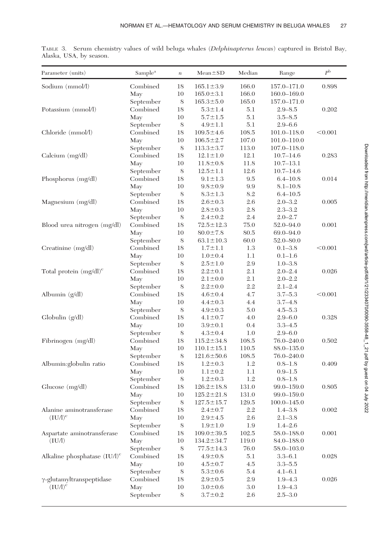| Parameter (units)                | Sample <sup>a</sup>   | $\boldsymbol{n}$ | $Mean \pm SD$                     | Median | Range                     | $P^{\rm b}$ |
|----------------------------------|-----------------------|------------------|-----------------------------------|--------|---------------------------|-------------|
| Sodium (mmol/l)                  | Combined              | 18               | $165.1 \pm 3.9$                   | 166.0  | $157.0 - 171.0$           | 0.898       |
|                                  | May                   | 10               | $165.0 \pm 3.1$                   | 166.0  | $160.0 - 169.0$           |             |
|                                  | September             | $8\,$            | $165.3 \pm 5.0$                   | 165.0  | 157.0-171.0               |             |
| Potassium (mmol/l)               | Combined              | 18               | $5.3 \pm 1.4$                     | 5.1    | $2.9 - 8.5$               | 0.202       |
|                                  | May                   | 10               | $5.7 \pm 1.5$                     | 5.1    | $3.5 - 8.5$               |             |
|                                  | September             | $8\,$            | $4.9 \pm 1.1$                     | 5.1    | $2.9 - 6.6$               |             |
| Chloride (mmol/l)                | Combined              | 18               | $109.5 \pm 4.6$                   | 108.5  | $101.0 - 118.0$           | < 0.001     |
|                                  | May                   | 10               | $106.5 \pm 2.7$                   | 107.0  | $101.0 - 110.0$           |             |
|                                  | September             | $8\,$            | $113.3 \pm 3.7$                   | 113.0  | 107.0–118.0               |             |
| Calcium (mg/dl)                  | Combined              | 18               | $12.1 \pm 1.0$                    | 12.1   | $10.7 - 14.6$             | 0.283       |
|                                  | May                   | 10               | $11.8 \pm 0.8$                    | 11.8   | $10.7 - 13.1$             |             |
|                                  | September             | $8\,$            | $12.5 \pm 1.1$                    | 12.6   | $10.7 - 14.6$             |             |
| Phosphorus (mg/dl)               | Combined              | 18               | $9.1 \pm 1.3$                     | 9.5    | $6.4 - 10.8$              | 0.014       |
|                                  | May                   | 10               | $9.8 \pm 0.9$                     | 9.9    | $8.1 - 10.8$              |             |
|                                  | September             | $8\,$            | $8.3 \pm 1.3$                     | 8.2    | $6.4 - 10.5$              |             |
| Magnesium (mg/dl)                | Combined              | 18               | $2.6 \pm 0.3$                     | 2.6    | $2.0 - 3.2$               | 0.005       |
|                                  | May                   | 10               | $2.8 \pm 0.3$                     | 2.8    | $2.3 - 3.2$               |             |
|                                  | September             | $8\,$            | $2.4 \pm 0.2$                     | 2.4    | $2.0 - 2.7$               |             |
| Blood urea nitrogen (mg/dl)      | Combined              | 18               | $72.5 \pm 12.3$                   | 75.0   | $52.0 - 94.0$             | 0.001       |
|                                  | May                   | 10               | $80.0 \pm 7.8$                    | 80.5   | 69.0–94.0                 |             |
|                                  | September             | $8\,$            | $63.1 \pm 10.3$                   | 60.0   | $52.0 - 80.0$             |             |
| Creatinine (mg/dl)               | Combined              | 18               | $1.7 \pm 1.1$                     | 1.3    | $0.1 - 3.8$               | < 0.001     |
|                                  | May                   | 10               | $1.0 \pm 0.4$                     | 1.1    | $0.1 - 1.6$               |             |
|                                  | September             | $8\,$            | $2.5 \pm 1.0$                     | 2.9    | $1.0 - 3.8$               |             |
| Total protein $(mg/dl)^c$        | Combined              | 18               | $2.2 \pm 0.1$                     | 2.1    | $2.0 - 2.4$               | 0.026       |
|                                  | May                   | 10               | $2.1 \pm 0.0$                     | 2.1    | $2.0 - 2.2$               |             |
|                                  | September             | 8                | $2.2 \pm 0.0$                     | 2.2    | $2.1 - 2.4$               |             |
| Albumin (g/dl)                   | Combined              | 18               | $4.6 \pm 0.4$                     | 4.7    | $3.7 - 5.3$               | < 0.001     |
|                                  | May                   | 10               | $4.4 \pm 0.3$                     | 4.4    | $3.7 - 4.8$               |             |
|                                  | September             | $8\,$            | $4.9 \pm 0.3$                     | 5.0    | $4.5 - 5.3$               |             |
| Globulin (g/dl)                  | Combined              | 18               | $4.1 \pm 0.7$                     | 4.0    | $2.9 - 6.0$               | 0.328       |
|                                  | May                   | 10               | $3.9 \pm 0.1$                     | 0.4    | $3.3 - 4.5$               |             |
|                                  |                       | $8\,$            |                                   | 1.0    |                           |             |
|                                  | September<br>Combined | 18               | $4.3 \pm 0.4$<br>$115.2 \pm 34.8$ | 108.5  | $2.9 - 6.0$<br>76.0-240.0 | 0.502       |
| Fibrinogen (mg/dl)               |                       |                  |                                   |        |                           |             |
|                                  | May                   | 10               | $110.1 \pm 15.1$                  | 110.5  | 88.0–135.0                |             |
|                                  | September             | $8\,$<br>18      | $121.6 \pm 50.6$                  | 108.5  | 76.0–240.0                |             |
| Albumin: globulin ratio          | Combined              |                  | $1.2 \pm 0.3$                     | 1.2    | $0.8 - 1.8$               | 0.409       |
|                                  | May                   | 10               | $1.1 \pm 0.2$                     | 1.1    | $0.9 - 1.5$               |             |
|                                  | September             | $8\,$            | $1.2 \pm 0.3$                     | 1.2    | $0.8 - 1.8$               |             |
| Glucose (mg/dl)                  | Combined              | 18               | $126.2 \pm 18.8$                  | 131.0  | $99.0 - 159.0$            | 0.805       |
|                                  | May                   | 10               | $125.2 \pm 21.8$                  | 131.0  | 99.0-159.0                |             |
|                                  | September             | $8\,$            | $127.5 \pm 15.7$                  | 129.5  | $100.0 - 145.0$           |             |
| Alanine aminotransferase         | Combined              | 18               | $2.4 \pm 0.7$                     | 2.2    | $1.4 - 3.8$               | 0.002       |
| $(IU/l)^c$                       | May                   | 10               | $2.9 + 4.5$                       | 2.6    | $2.1 - 3.8$               |             |
|                                  | September             | $8\,$            | $1.9 \pm 1.0$                     | 1.9    | $1.4 - 2.6$               |             |
| Aspartate aminotransferase       | Combined              | 18               | $109.0 \pm 39.5$                  | 102.5  | 58.0–188.0                | 0.001       |
| (IU/l)                           | May                   | 10               | $134.2 \pm 34.7$                  | 119.0  | 84.0–188.0                |             |
|                                  | September             | 8                | $77.5 \pm 14.3$                   | 76.0   | 58.0–103.0                |             |
| Alkaline phosphatase $(IU/l)^c$  | Combined              | 18               | $4.9 \pm 0.8$                     | 5.1    | $3.3 - 6.1$               | 0.028       |
|                                  | May                   | 10               | $4.5 \pm 0.7$                     | 4.5    | $3.3 - 5.5$               |             |
|                                  | September             | 8                | $5.3 \pm 0.6$                     | 5.4    | $4.1 - 6.1$               |             |
| $\gamma$ -glutamyltranspeptidase | Combined              | 18               | $2.9 \pm 0.5$                     | 2.9    | 1.9–4.3                   | 0.026       |
| $(IU/l)^c$                       | May                   | 10               | $3.0 \pm 0.6$                     | 3.0    | 1.9–4.3                   |             |
|                                  | September             | 8                | $3.7 \pm 0.2$                     | 2.6    | $2.5 - 3.0$               |             |
|                                  |                       |                  |                                   |        |                           |             |

TABLE 3. Serum chemistry values of wild beluga whales (Delphinapterus leucas) captured in Bristol Bay, Alaska, USA, by season.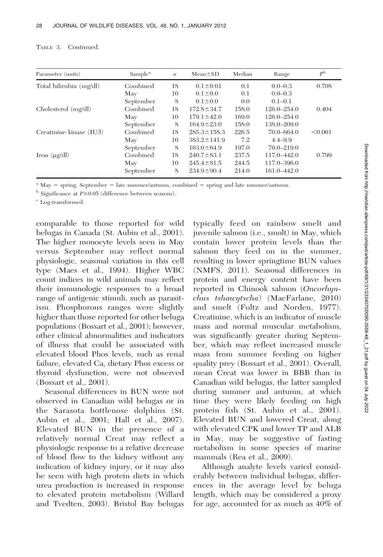| Parameter (units)        | Sample <sup>a</sup> | $\boldsymbol{n}$ | $Mean \pm SD$     | Median | Range           | $P^{\rm b}$ |
|--------------------------|---------------------|------------------|-------------------|--------|-----------------|-------------|
| Total bilirubin (mg/dl)  | Combined            | 18               | $0.1 \pm 0.01$    | 0.1    | $0.0 - 0.3$     | 0.708       |
|                          | May                 | 10               | $0.1 \pm 0.0$     | 0.1    | $0.0 - 0.3$     |             |
|                          | September           | 8                | $0.1 \pm 0.0$     | 0.0    | $0.1 - 0.1$     |             |
| Cholesterol (mg/dl)      | Combined            | 18               | $172.8 \pm 34.7$  | 158.0  | 126.0-254.0     | 0.404       |
|                          | May                 | 10               | $179.1 \pm 42.0$  | 169.0  | $126.0 - 254.0$ |             |
|                          | September           | 8                | $164.9 \pm 23.0$  | 158.0  | 138.0-209.0     |             |
| Creatinine kinase (IU/l) | Combined            | 18               | $285.3 \pm 158.3$ | 226.5  | 70.0–664.0      | < 0.001     |
|                          | May                 | 10               | $383.2 \pm 141.9$ | 7.2    | $4.4 - 9.9$     |             |
|                          | September           | 8                | $163.0 \pm 64.9$  | 197.0  | $70.0 - 219.0$  |             |
| Iron $(\mu g/dl)$        | Combined            | 18               | $240.7 \pm 83.1$  | 237.5  | 117.0–442.0     | 0.799       |
|                          | May                 | 10               | $245.4 \pm 81.5$  | 244.5  | 117.0–396.0     |             |
|                          | September           | 8                | $234.9 \pm 90.4$  | 214.0  | 161.0-442.0     |             |

TABLE 3. Continued.

<sup>a</sup> May = spring, September = late summer/autumn, combined = spring and late summer/autumn.

 $<sup>b</sup>$  Significance at  $P \le 0.05$  (difference between seasons).</sup>

<sup>c</sup> Log-transformed.

comparable to those reported for wild belugas in Canada (St. Aubin et al., 2001). The higher monocyte levels seen in May versus September may reflect normal physiologic, seasonal variation in this cell type (Maes et al., 1994). Higher WBC count indices in wild animals may reflect their immunologic responses to a broad range of antigenic stimuli, such as parasitism. Phosphorous ranges were slightly higher than those reported for other beluga populations (Bossart et al., 2001); however, other clinical abnormalities and indicators of illness that could be associated with elevated blood Phos levels, such as renal failure, elevated Ca, dietary Phos excess or thyroid dysfunction, were not observed (Bossart et al., 2001).

Seasonal differences in BUN were not observed in Canadian wild belugas or in the Sarasota bottlenose dolphins (St. Aubin et al., 2001; Hall et al., 2007). Elevated BUN in the presence of a relatively normal Creat may reflect a physiologic response to a relative decrease of blood flow to the kidney without any indication of kidney injury, or it may also be seen with high protein diets in which urea production is increased in response to elevated protein metabolism (Willard and Tvedten, 2003). Bristol Bay belugas

typically feed on rainbow smelt and juvenile salmon (i.e., smolt) in May, which contain lower protein levels than the salmon they feed on in the summer, resulting in lower springtime BUN values (NMFS, 2011). Seasonal differences in protein and energy content have been reported in Chinook salmon (Oncorhynchus tshawytscha) (MacFarlane, 2010) and smelt (Foltz and Norden, 1977). Creatinine, which is an indicator of muscle mass and normal muscular metabolism, was significantly greater during September, which may reflect increased muscle mass from summer feeding on higher quality prey (Bossart et al., 2001). Overall, mean Creat was lower in BBB than in Canadian wild belugas, the latter sampled during summer and autumn, at which time they were likely feeding on high protein fish (St. Aubin et al., 2001). Elevated BUN and lowered Creat, along with elevated CPK and lower TP and ALB in May, may be suggestive of fasting metabolism in some species of marine mammals (Rea et al., 2009).

Although analyte levels varied considerably between individual belugas, differences in the average level by beluga length, which may be considered a proxy for age, accounted for as much as 40% of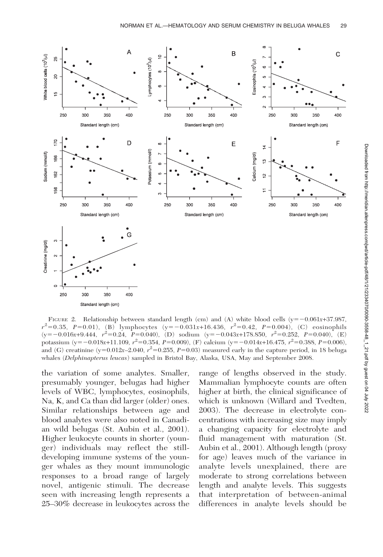

FIGURE 2. Relationship between standard length (cm) and (A) white blood cells ( $y=-0.061x+37.987$ ,  $r^2 = 0.35$ ,  $P = 0.01$ ), (B) lymphocytes (y= -0.031x+16.436,  $r^2 = 0.42$ ,  $P = 0.004$ ), (C) eosinophils  $(y=-0.016x+9.444, r^2=0.24, P=0.040)$ , (D) sodium  $(y=-0.043x+178.850, r^2=0.252, P=0.040)$ , (E) potassium (y= $-0.018x+11.109$ ,  $r^2=0.354$ ,  $P=0.009$ ), (F) calcium (y= $-0.014x+16.475$ ,  $r^2=0.388$ ,  $P=0.006$ ), and (G) creatinine (y=0.012x–2.040,  $r^2$ =0.255, P=0.03) measured early in the capture period, in 18 beluga whales (Delphinapterus leucas) sampled in Bristol Bay, Alaska, USA, May and September 2008.

the variation of some analytes. Smaller, presumably younger, belugas had higher levels of WBC, lymphocytes, eosinophils, Na, K, and Ca than did larger (older) ones. Similar relationships between age and blood analytes were also noted in Canadian wild belugas (St. Aubin et al., 2001). Higher leukocyte counts in shorter (younger) individuals may reflect the stilldeveloping immune systems of the younger whales as they mount immunologic responses to a broad range of largely novel, antigenic stimuli. The decrease seen with increasing length represents a 25–30% decrease in leukocytes across the range of lengths observed in the study. Mammalian lymphocyte counts are often higher at birth, the clinical significance of which is unknown (Willard and Tvedten, 2003). The decrease in electrolyte concentrations with increasing size may imply a changing capacity for electrolyte and fluid management with maturation (St. Aubin et al., 2001). Although length (proxy for age) leaves much of the variance in analyte levels unexplained, there are moderate to strong correlations between length and analyte levels. This suggests that interpretation of between-animal differences in analyte levels should be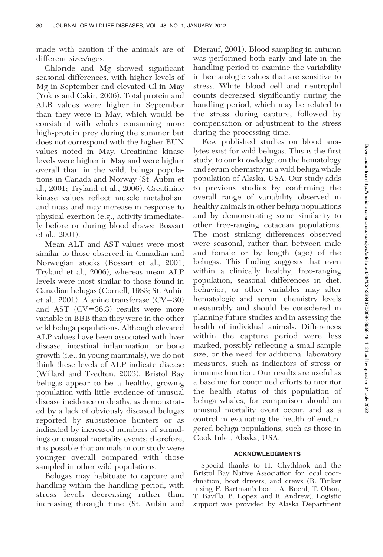made with caution if the animals are of different sizes/ages.

Chloride and Mg showed significant seasonal differences, with higher levels of Mg in September and elevated Cl in May (Yokus and Cakir, 2006). Total protein and ALB values were higher in September than they were in May, which would be consistent with whales consuming more high-protein prey during the summer but does not correspond with the higher BUN values noted in May. Creatinine kinase levels were higher in May and were higher overall than in the wild, beluga populations in Canada and Norway (St. Aubin et al., 2001; Tryland et al., 2006). Creatinine kinase values reflect muscle metabolism and mass and may increase in response to physical exertion (e.g., activity immediately before or during blood draws; Bossart et al., 2001).

Mean ALT and AST values were most similar to those observed in Canadian and Norwegian stocks (Bossart et al., 2001; Tryland et al., 2006), whereas mean ALP levels were most similar to those found in Canadian belugas (Cornell, 1983; St. Aubin et al., 2001). Alanine transferase  $(CV=30)$ and AST  $(CV=36.3)$  results were more variable in BBB than they were in the other wild beluga populations. Although elevated ALP values have been associated with liver disease, intestinal inflammation, or bone growth (i.e., in young mammals), we do not think these levels of ALP indicate disease (Willard and Tvedten, 2003). Bristol Bay belugas appear to be a healthy, growing population with little evidence of unusual disease incidence or deaths, as demonstrated by a lack of obviously diseased belugas reported by subsistence hunters or as indicated by increased numbers of strandings or unusual mortality events; therefore, it is possible that animals in our study were younger overall compared with those sampled in other wild populations.

Belugas may habituate to capture and handling within the handling period, with stress levels decreasing rather than increasing through time (St. Aubin and

Dierauf, 2001). Blood sampling in autumn was performed both early and late in the handling period to examine the variability in hematologic values that are sensitive to stress. White blood cell and neutrophil counts decreased significantly during the handling period, which may be related to the stress during capture, followed by compensation or adjustment to the stress during the processing time.

Few published studies on blood analytes exist for wild belugas. This is the first study, to our knowledge, on the hematology and serum chemistry in a wild beluga whale population of Alaska, USA. Our study adds to previous studies by confirming the overall range of variability observed in healthy animals in other beluga populations and by demonstrating some similarity to other free-ranging cetacean populations. The most striking differences observed were seasonal, rather than between male and female or by length (age) of the belugas. This finding suggests that even within a clinically healthy, free-ranging population, seasonal differences in diet, behavior, or other variables may alter hematologic and serum chemistry levels measurably and should be considered in planning future studies and in assessing the health of individual animals. Differences within the capture period were less marked, possibly reflecting a small sample size, or the need for additional laboratory measures, such as indicators of stress or immune function. Our results are useful as a baseline for continued efforts to monitor the health status of this population of beluga whales, for comparison should an unusual mortality event occur, and as a control in evaluating the health of endangered beluga populations, such as those in Cook Inlet, Alaska, USA.

# ACKNOWLEDGMENTS

Special thanks to H. Chythlook and the Bristol Bay Native Association for local coordination, boat drivers, and crews (B. Tinker [using F. Bartman's boat], A. Roehl, T. Olson, T. Bavilla, B. Lopez, and R. Andrew). Logistic support was provided by Alaska Department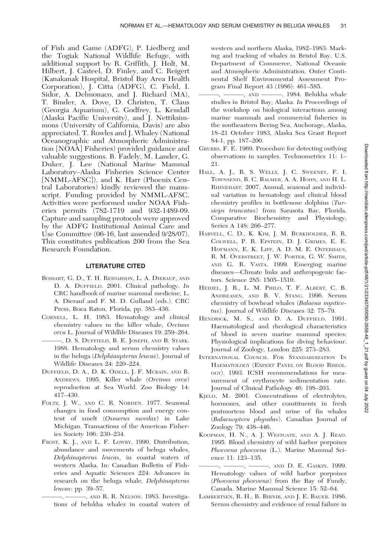of Fish and Game (ADFG), P. Liedberg and the Togiak National Wildlife Refuge, with additional support by R. Griffith, J. Holt, M. Hilbert, J. Casteel, D. Finley, and C. Reigert (Kanakanak Hospital, Bristol Bay Area Health Corporation), J. Citta (ADFG), C. Field, I. Sidor, A. Delmonaco, and J. Richard (MA), T. Binder, A. Dove, D. Christen, T. Claus (Georgia Aquarium), G. Godfrey, L. Kendall (Alaska Pacific University), and J. Nettiksimmons (University of California, Davis) are also appreciated. T. Rowles and J. Whaley (National Oceanographic and Atmospheric Administration [NOAA] Fisheries) provided guidance and valuable suggestions. B. Fadely, M. Lander, G. Duker, J. Lee (National Marine Mammal Laboratory–Alaska Fisheries Science Center [NMML-AFSC]), and K. Harr (Phoenix Central Laboratories) kindly reviewed the manuscript. Funding provided by NMML-AFSC. Activities were performed under NOAA Fisheries permits (782-1719 and 932-1489-09. Capture and sampling protocols were approved by the ADFG Institutional Animal Care and Use Committee (06-16, last amended 9/28/07). This constitutes publication 200 from the Sea Research Foundation.

# LITERATURE CITED

- BOSSART, G. D., T. H. REIDARSON, L. A. DIERAUF, AND D. A. DUFFIELD. 2001. Clinical pathology. In CRC handbook of marine mammal medicine, L. A. Dierauf and F. M. D. Gulland (eds.). CRC Press, Boca Raton, Florida, pp. 383–436.
- CORNELL, L. H. 1983. Hematology and clinical chemistry values in the killer whale, Orcinus orca L. Journal of Wildlife Diseases 19: 259–264. ———, D. S. DUFFIELD, B. E. JOSEPH, AND B. STARK. 1988. Hematology and serum chemistry values in the beluga (Delphinapterus leucas). Journal of Wildlife Diseases 24: 220–224.
- DUFFIELD, D. A., D. K. ODELL, J. F. MCBAIN, AND B. ANDREWS. 1995. Killer whale (Orcinus orca) reproduction at Sea World. Zoo Biology 14: 417–430.
- FOLTZ, J. W., AND C. R. NORDEN. 1977. Seasonal changes in food consumption and energy content of smelt (Osmerus mordax) in Lake Michigan. Transactions of the American Fisheries Society 106: 230–234.
- FROST, K. J., AND L. F. LOWRY. 1990. Distribution, abundance and movements of beluga whales, Delphinapterus leucas, in coastal waters of western Alaska. In: Canadian Bulletin of Fisheries and Aquatic Sciences 224: Advances in research on the beluga whale, Delphinapterus leucas: pp. 39–57.
	- ———, ———, AND R. R. NELSON. 1983. Investigations of belukha whales in coastal waters of

western and northern Alaska, 1982–1983: Marking and tracking of whales in Bristol Bay. U.S. Department of Commerce, National Oceanic and Atmospheric Administration, Outer Continental Shelf Environmental Assessment Program Final Report 43 (1986): 461–585.

- ———, ———, AND ———. 1984. Belukha whale studies in Bristol Bay, Alaska. In Proceedings of the workshop on biological interactions among marine mammals and commercial fisheries in the southeastern Bering Sea, Anchorage, Alaska, 18–21 October 1983, Alaska Sea Grant Report 84-1, pp. 187–200.
- GRUBBS, F. E. 1969. Procedure for detecting outlying observations in samples. Technometrics 11: 1– 21.
- HALL, A. J., R. S. WELLS, J. C. SWEENEY, F. I. TOWNSEND, B. C. BALMER, A. A. HOHN, AND H. L. RHINEHART. 2007. Annual, seasonal and individual variation in hematology and clinical blood chemistry profiles in bottlenose dolphins (Tursiops truncatus) from Sarasota Bay, Florida. Comparative Biochemistry and Physiology, Series A 148: 266–277.
- HARVELL, C. D., K. KIM, J. M. BURKHOLDER, R. R. COLWELL, P. R. EPSTEIN, D. J. GRIMES, E. E. HOFMANN, E. K. LIPP, A. D. M. E. OSTERHAUS, R. M. OVERSTREET, J. W. PORTER, G. W. SMITH, AND G. R. VASTA. 1999. Emerging marine diseases—Climate links and anthropogenic factors. Science 285: 1505–1510.
- HEIDEL, J. R., L. M. PHILO, T. F. ALBERT, C. B. ANDREASEN, AND B. V. STANG. 1996. Serum chemistry of bowhead whales (Balaena mysticetus). Journal of Wildlife Diseases 32: 75–79.
- HENDRICK, M. S., AND D. A. DUFFIELD. 1991. Haematological and rheological characteristics of blood in seven marine mammal species: Physiological implications for diving behaviour. Journal of Zoology, London 225: 273–283.
- INTERNATIONAL COUNCIL FOR STANDARDIZATION IN HAEMATOLOGY (EXPERT PANEL ON BLOOD RHEOL-OGY). 1993. ICSH recommendations for measurement of erythrocyte sedimentation rate. Journal of Clinical Pathology 46: 198–203.
- KJELD, M. 2001. Concentrations of electrolytes, hormones, and other constituents in fresh postmortem blood and urine of fin whales (Balaenoptera physalus). Canadian Journal of Zoology 79: 438–446.
- KOOPMAN, H. N., A. J. WESTGATE, AND A. J. READ. 1995. Blood chemistry of wild harbor porpoises Phocoena phocoena (L.). Marine Mammal Science 11: 123–135.
	- ———, ———, ———, AND D. E. GASKIN. 1999. Hematology values of wild harbor porpoises (Phocoena phocoena) from the Bay of Fundy, Canada. Marine Mammal Science 15: 52–64.
- LAMBERTSEN, R. H., B. BIRNIR, AND J. E. BAUER. 1986. Serum chemistry and evidence of renal failure in